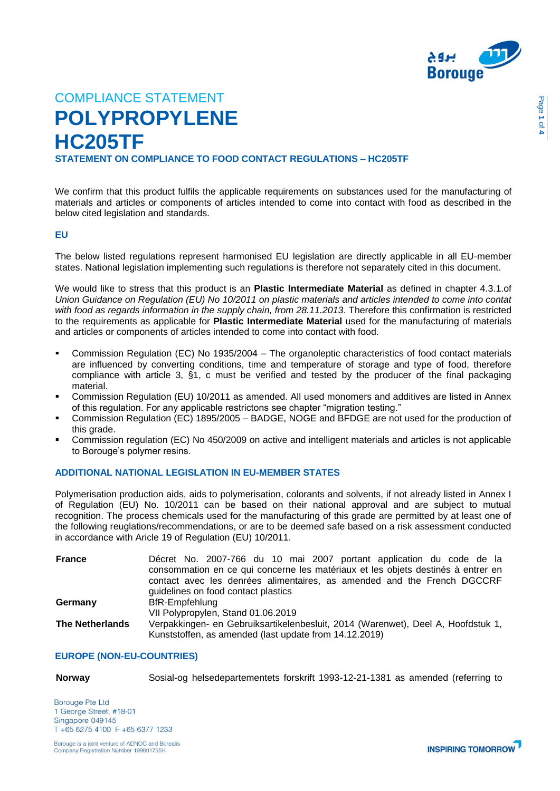

**STATEMENT ON COMPLIANCE TO FOOD CONTACT REGULATIONS – HC205TF**

We confirm that this product fulfils the applicable requirements on substances used for the manufacturing of materials and articles or components of articles intended to come into contact with food as described in the below cited legislation and standards.

## **EU**

The below listed regulations represent harmonised EU legislation are directly applicable in all EU-member states. National legislation implementing such regulations is therefore not separately cited in this document.

We would like to stress that this product is an **Plastic Intermediate Material** as defined in chapter 4.3.1.of *Union Guidance on Regulation (EU) No 10/2011 on plastic materials and articles intended to come into contat with food as regards information in the supply chain, from 28.11.2013*. Therefore this confirmation is restricted to the requirements as applicable for **Plastic Intermediate Material** used for the manufacturing of materials and articles or components of articles intended to come into contact with food.

- Commission Regulation (EC) No 1935/2004 The organoleptic characteristics of food contact materials are influenced by converting conditions, time and temperature of storage and type of food, therefore compliance with article 3, §1, c must be verified and tested by the producer of the final packaging material.
- Commission Regulation (EU) 10/2011 as amended. All used monomers and additives are listed in Annex of this regulation. For any applicable restrictons see chapter "migration testing."
- Commission Regulation (EC) 1895/2005 BADGE, NOGE and BFDGE are not used for the production of this grade.
- Commission regulation (EC) No 450/2009 on active and intelligent materials and articles is not applicable to Borouge's polymer resins.

# **ADDITIONAL NATIONAL LEGISLATION IN EU-MEMBER STATES**

Polymerisation production aids, aids to polymerisation, colorants and solvents, if not already listed in Annex I of Regulation (EU) No. 10/2011 can be based on their national approval and are subject to mutual recognition. The process chemicals used for the manufacturing of this grade are permitted by at least one of the following reuglations/recommendations, or are to be deemed safe based on a risk assessment conducted in accordance with Aricle 19 of Regulation (EU) 10/2011.

| <b>France</b>          | Décret No. 2007-766 du 10 mai 2007 portant application du code de la<br>consommation en ce qui concerne les matériaux et les objets destinés à entrer en<br>contact avec les denrées alimentaires, as amended and the French DGCCRF<br>quidelines on food contact plastics |
|------------------------|----------------------------------------------------------------------------------------------------------------------------------------------------------------------------------------------------------------------------------------------------------------------------|
| Germany                | BfR-Empfehlung                                                                                                                                                                                                                                                             |
|                        | VII Polypropylen, Stand 01.06.2019                                                                                                                                                                                                                                         |
| <b>The Netherlands</b> | Verpakkingen- en Gebruiksartikelenbesluit, 2014 (Warenwet), Deel A, Hoofdstuk 1,                                                                                                                                                                                           |
|                        | Kunststoffen, as amended (last update from 14.12.2019)                                                                                                                                                                                                                     |

# **EUROPE (NON-EU-COUNTRIES)**

**Norway** Sosial-og helsedepartementets forskrift 1993-12-21-1381 as amended (referring to

**Borouge Pte Ltd** 1 George Street, #18-01 Singapore 049145 T +65 6275 4100 F +65 6377 1233

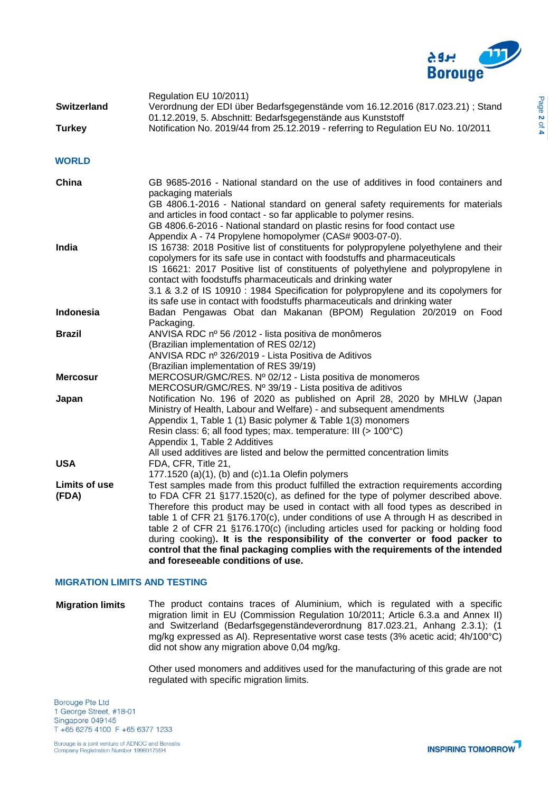

| <b>Switzerland</b>     | Regulation EU 10/2011)<br>Verordnung der EDI über Bedarfsgegenstände vom 16.12.2016 (817.023.21) ; Stand<br>01.12.2019, 5. Abschnitt: Bedarfsgegenstände aus Kunststoff                                                                                                                                                                                                                                                                                                                                                                                                                                                                          |
|------------------------|--------------------------------------------------------------------------------------------------------------------------------------------------------------------------------------------------------------------------------------------------------------------------------------------------------------------------------------------------------------------------------------------------------------------------------------------------------------------------------------------------------------------------------------------------------------------------------------------------------------------------------------------------|
| <b>Turkey</b>          | Notification No. 2019/44 from 25.12.2019 - referring to Regulation EU No. 10/2011                                                                                                                                                                                                                                                                                                                                                                                                                                                                                                                                                                |
| <b>WORLD</b>           |                                                                                                                                                                                                                                                                                                                                                                                                                                                                                                                                                                                                                                                  |
| China                  | GB 9685-2016 - National standard on the use of additives in food containers and<br>packaging materials<br>GB 4806.1-2016 - National standard on general safety requirements for materials<br>and articles in food contact - so far applicable to polymer resins.<br>GB 4806.6-2016 - National standard on plastic resins for food contact use                                                                                                                                                                                                                                                                                                    |
| India                  | Appendix A - 74 Propylene homopolymer (CAS# 9003-07-0).<br>IS 16738: 2018 Positive list of constituents for polypropylene polyethylene and their<br>copolymers for its safe use in contact with foodstuffs and pharmaceuticals<br>IS 16621: 2017 Positive list of constituents of polyethylene and polypropylene in<br>contact with foodstuffs pharmaceuticals and drinking water<br>3.1 & 3.2 of IS 10910 : 1984 Specification for polypropylene and its copolymers for<br>its safe use in contact with foodstuffs pharmaceuticals and drinking water                                                                                           |
| Indonesia              | Badan Pengawas Obat dan Makanan (BPOM) Regulation 20/2019 on Food<br>Packaging.                                                                                                                                                                                                                                                                                                                                                                                                                                                                                                                                                                  |
| <b>Brazil</b>          | ANVISA RDC nº 56/2012 - lista positiva de monômeros<br>(Brazilian implementation of RES 02/12)<br>ANVISA RDC nº 326/2019 - Lista Positiva de Aditivos<br>(Brazilian implementation of RES 39/19)                                                                                                                                                                                                                                                                                                                                                                                                                                                 |
| <b>Mercosur</b>        | MERCOSUR/GMC/RES. Nº 02/12 - Lista positiva de monomeros<br>MERCOSUR/GMC/RES. Nº 39/19 - Lista positiva de aditivos                                                                                                                                                                                                                                                                                                                                                                                                                                                                                                                              |
| Japan                  | Notification No. 196 of 2020 as published on April 28, 2020 by MHLW (Japan<br>Ministry of Health, Labour and Welfare) - and subsequent amendments<br>Appendix 1, Table 1 (1) Basic polymer & Table 1(3) monomers<br>Resin class: 6; all food types; max. temperature: III (> 100°C)<br>Appendix 1, Table 2 Additives<br>All used additives are listed and below the permitted concentration limits                                                                                                                                                                                                                                               |
| <b>USA</b>             | FDA, CFR, Title 21,<br>177.1520 (a)(1), (b) and (c)1.1a Olefin polymers                                                                                                                                                                                                                                                                                                                                                                                                                                                                                                                                                                          |
| Limits of use<br>(FDA) | Test samples made from this product fulfilled the extraction requirements according<br>to FDA CFR 21 §177.1520(c), as defined for the type of polymer described above.<br>Therefore this product may be used in contact with all food types as described in<br>table 1 of CFR 21 §176.170(c), under conditions of use A through H as described in<br>table 2 of CFR 21 §176.170(c) (including articles used for packing or holding food<br>during cooking). It is the responsibility of the converter or food packer to<br>control that the final packaging complies with the requirements of the intended<br>and foreseeable conditions of use. |

# **MIGRATION LIMITS AND TESTING**

**Migration limits** The product contains traces of Aluminium, which is regulated with a specific migration limit in EU (Commission Regulation 10/2011; Article 6.3.a and Annex II) and Switzerland (Bedarfsgegenständeverordnung 817.023.21, Anhang 2.3.1); (1 mg/kg expressed as Al). Representative worst case tests (3% acetic acid; 4h/100°C) did not show any migration above 0,04 mg/kg.

> Other used monomers and additives used for the manufacturing of this grade are not regulated with specific migration limits.

**Borouge Pte Ltd** 1 George Street, #18-01 Singapore 049145 T +65 6275 4100 F +65 6377 1233

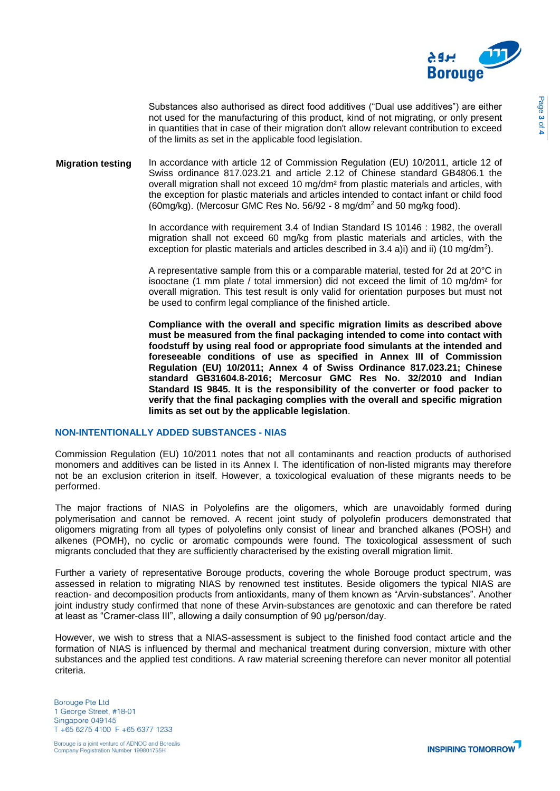

Substances also authorised as direct food additives ("Dual use additives") are either not used for the manufacturing of this product, kind of not migrating, or only present in quantities that in case of their migration don't allow relevant contribution to exceed of the limits as set in the applicable food legislation.

**Migration testing** In accordance with article 12 of Commission Regulation (EU) 10/2011, article 12 of Swiss ordinance 817.023.21 and article 2.12 of Chinese standard GB4806.1 the overall migration shall not exceed 10 mg/dm² from plastic materials and articles, with the exception for plastic materials and articles intended to contact infant or child food  $(60mg/kg)$ . (Mercosur GMC Res No. 56/92 - 8 mg/dm<sup>2</sup> and 50 mg/kg food).

> In accordance with requirement 3.4 of Indian Standard IS 10146 : 1982, the overall migration shall not exceed 60 mg/kg from plastic materials and articles, with the exception for plastic materials and articles described in 3.4 a)i) and ii) (10 mg/dm<sup>2</sup>).

> A representative sample from this or a comparable material, tested for 2d at 20°C in isooctane (1 mm plate / total immersion) did not exceed the limit of 10 mg/dm² for overall migration. This test result is only valid for orientation purposes but must not be used to confirm legal compliance of the finished article.

> **Compliance with the overall and specific migration limits as described above must be measured from the final packaging intended to come into contact with foodstuff by using real food or appropriate food simulants at the intended and foreseeable conditions of use as specified in Annex III of Commission Regulation (EU) 10/2011; Annex 4 of Swiss Ordinance 817.023.21; Chinese standard GB31604.8-2016; Mercosur GMC Res No. 32/2010 and Indian Standard IS 9845. It is the responsibility of the converter or food packer to verify that the final packaging complies with the overall and specific migration limits as set out by the applicable legislation**.

## **NON-INTENTIONALLY ADDED SUBSTANCES - NIAS**

Commission Regulation (EU) 10/2011 notes that not all contaminants and reaction products of authorised monomers and additives can be listed in its Annex I. The identification of non-listed migrants may therefore not be an exclusion criterion in itself. However, a toxicological evaluation of these migrants needs to be performed.

The major fractions of NIAS in Polyolefins are the oligomers, which are unavoidably formed during polymerisation and cannot be removed. A recent joint study of polyolefin producers demonstrated that oligomers migrating from all types of polyolefins only consist of linear and branched alkanes (POSH) and alkenes (POMH), no cyclic or aromatic compounds were found. The toxicological assessment of such migrants concluded that they are sufficiently characterised by the existing overall migration limit.

Further a variety of representative Borouge products, covering the whole Borouge product spectrum, was assessed in relation to migrating NIAS by renowned test institutes. Beside oligomers the typical NIAS are reaction- and decomposition products from antioxidants, many of them known as "Arvin-substances". Another joint industry study confirmed that none of these Arvin-substances are genotoxic and can therefore be rated at least as "Cramer-class III", allowing a daily consumption of 90 μg/person/day.

However, we wish to stress that a NIAS-assessment is subject to the finished food contact article and the formation of NIAS is influenced by thermal and mechanical treatment during conversion, mixture with other substances and the applied test conditions. A raw material screening therefore can never monitor all potential criteria.

**Borouge Pte Ltd** 1 George Street, #18-01 Singapore 049145 T +65 6275 4100 F +65 6377 1233



Page **3** of **4**